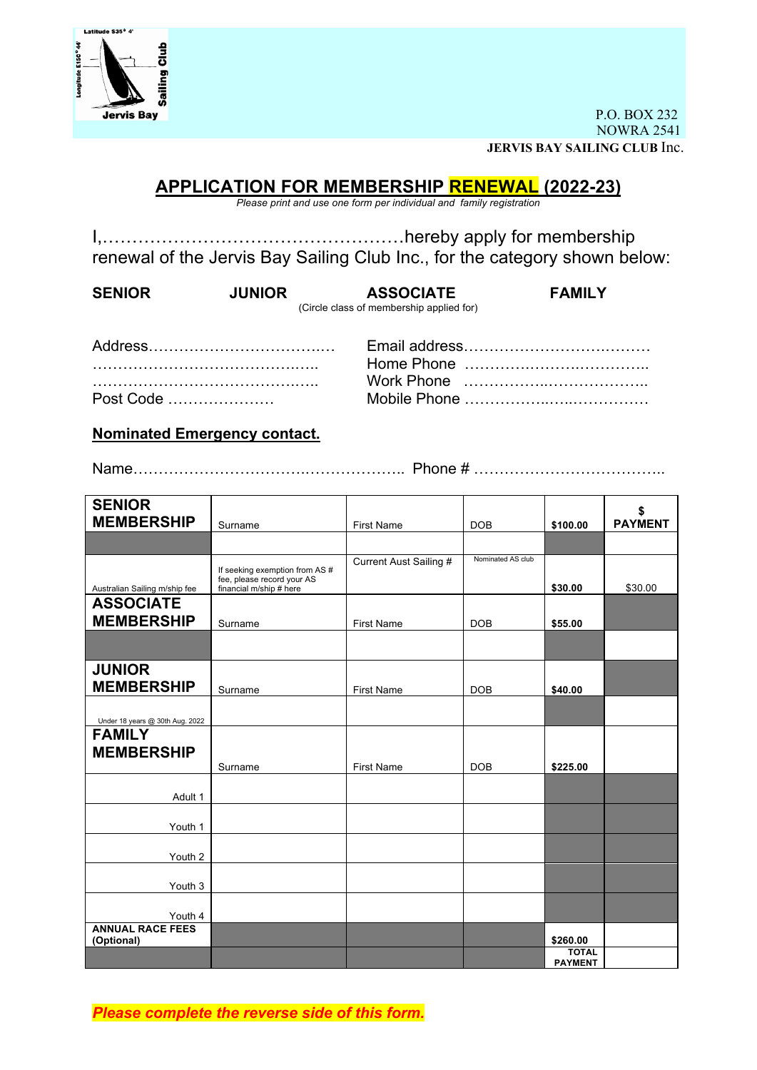

P.O. BOX 232 NOWRA 2541 **JERVIS BAY SAILING CLUB** Inc.

## **APPLICATION FOR MEMBERSHIP RENEWAL (2022-23)**

*Please print and use one form per individual and family registration*

I,……………………………………………hereby apply for membership renewal of the Jervis Bay Sailing Club Inc., for the category shown below:

| <b>SENIOR</b> | <b>JUNIOR</b> | <b>ASSOCIATE</b>                         | <b>FAMILY</b> |
|---------------|---------------|------------------------------------------|---------------|
|               |               | (Circle class of membership applied for) |               |
|               |               |                                          |               |

| Post Code |  |  |  |  |  |  |  |  |  |  |  |  |  |  |
|-----------|--|--|--|--|--|--|--|--|--|--|--|--|--|--|

Address…………………………….… Email address……………………….……… ………………………………….….. Home Phone ………….……….………….. ………………………………….….. Work Phone ……………..……………….. Post Code ………………… Mobile Phone ……………..…..……………

**Nominated Emergency contact.**

Name…………………………….……………….. Phone # ………………………………..

| <b>SENIOR</b>                         |                                                                                         |                        |                   |                                | \$             |
|---------------------------------------|-----------------------------------------------------------------------------------------|------------------------|-------------------|--------------------------------|----------------|
| <b>MEMBERSHIP</b>                     | Surname                                                                                 | <b>First Name</b>      | <b>DOB</b>        | \$100.00                       | <b>PAYMENT</b> |
|                                       |                                                                                         |                        |                   |                                |                |
| Australian Sailing m/ship fee         | If seeking exemption from AS #<br>fee, please record your AS<br>financial m/ship # here | Current Aust Sailing # | Nominated AS club | \$30.00                        | \$30.00        |
| <b>ASSOCIATE</b>                      |                                                                                         |                        |                   |                                |                |
| <b>MEMBERSHIP</b>                     | Surname                                                                                 | <b>First Name</b>      | <b>DOB</b>        | \$55.00                        |                |
|                                       |                                                                                         |                        |                   |                                |                |
| <b>JUNIOR</b><br><b>MEMBERSHIP</b>    | Surname                                                                                 | <b>First Name</b>      | <b>DOB</b>        | \$40.00                        |                |
| Under 18 years @ 30th Aug. 2022       |                                                                                         |                        |                   |                                |                |
| <b>FAMILY</b><br><b>MEMBERSHIP</b>    |                                                                                         |                        |                   |                                |                |
|                                       | Surname                                                                                 | <b>First Name</b>      | <b>DOB</b>        | \$225.00                       |                |
| Adult 1                               |                                                                                         |                        |                   |                                |                |
| Youth 1                               |                                                                                         |                        |                   |                                |                |
| Youth 2                               |                                                                                         |                        |                   |                                |                |
| Youth 3                               |                                                                                         |                        |                   |                                |                |
| Youth 4                               |                                                                                         |                        |                   |                                |                |
| <b>ANNUAL RACE FEES</b><br>(Optional) |                                                                                         |                        |                   | \$260.00                       |                |
|                                       |                                                                                         |                        |                   | <b>TOTAL</b><br><b>PAYMENT</b> |                |

*Please complete the reverse side of this form.*